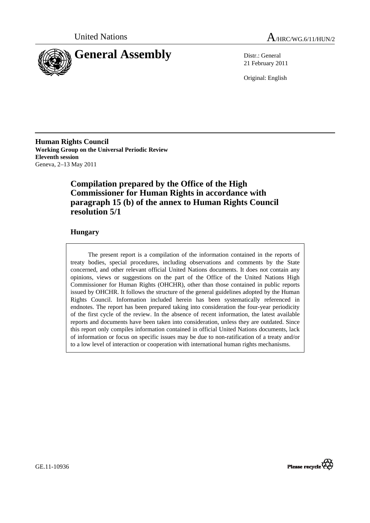



21 February 2011

Original: English

**Human Rights Council Working Group on the Universal Periodic Review Eleventh session**  Geneva, 2–13 May 2011

## **Compilation prepared by the Office of the High Commissioner for Human Rights in accordance with paragraph 15 (b) of the annex to Human Rights Council resolution 5/1**

## **Hungary**

The present report is a compilation of the information contained in the reports of treaty bodies, special procedures, including observations and comments by the State concerned, and other relevant official United Nations documents. It does not contain any opinions, views or suggestions on the part of the Office of the United Nations High Commissioner for Human Rights (OHCHR), other than those contained in public reports issued by OHCHR. It follows the structure of the general guidelines adopted by the Human Rights Council. Information included herein has been systematically referenced in endnotes. The report has been prepared taking into consideration the four-year periodicity of the first cycle of the review. In the absence of recent information, the latest available reports and documents have been taken into consideration, unless they are outdated. Since this report only compiles information contained in official United Nations documents, lack of information or focus on specific issues may be due to non-ratification of a treaty and/or to a low level of interaction or cooperation with international human rights mechanisms.

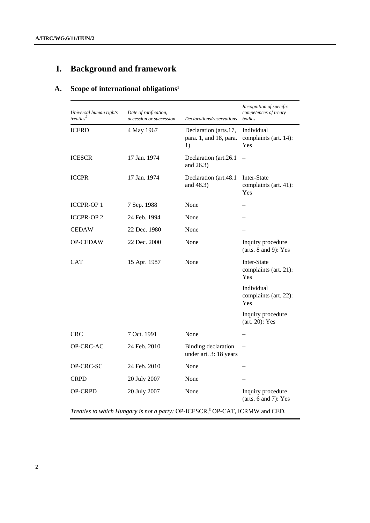# **I. Background and framework**

## **A. Scope of international obligations1**

| Universal human rights<br>treaties <sup>2</sup> | Date of ratification,<br>accession or succession | Declarations/reservations                             | Recognition of specific<br>competences of treaty<br>bodies |
|-------------------------------------------------|--------------------------------------------------|-------------------------------------------------------|------------------------------------------------------------|
| <b>ICERD</b>                                    | 4 May 1967                                       | Declaration (arts.17,<br>para. 1, and 18, para.<br>1) | Individual<br>complaints (art. 14):<br>Yes                 |
| <b>ICESCR</b>                                   | 17 Jan. 1974                                     | Declaration (art.26.1)<br>and 26.3)                   |                                                            |
| <b>ICCPR</b>                                    | 17 Jan. 1974                                     | Declaration (art.48.1)<br>and 48.3)                   | Inter-State<br>complaints (art. 41):<br>Yes                |
| <b>ICCPR-OP1</b>                                | 7 Sep. 1988                                      | None                                                  |                                                            |
| <b>ICCPR-OP2</b>                                | 24 Feb. 1994                                     | None                                                  |                                                            |
| <b>CEDAW</b>                                    | 22 Dec. 1980                                     | None                                                  |                                                            |
| <b>OP-CEDAW</b>                                 | 22 Dec. 2000                                     | None                                                  | Inquiry procedure<br>(arts. $8$ and $9$ ): Yes             |
| <b>CAT</b>                                      | 15 Apr. 1987                                     | None                                                  | Inter-State<br>complaints (art. 21):<br>Yes                |
|                                                 |                                                  |                                                       | Individual<br>complaints (art. 22):<br>Yes                 |
|                                                 |                                                  |                                                       | Inquiry procedure<br>(art. 20): Yes                        |
| <b>CRC</b>                                      | 7 Oct. 1991                                      | None                                                  |                                                            |
| OP-CRC-AC                                       | 24 Feb. 2010                                     | <b>Binding</b> declaration<br>under art. 3: 18 years  |                                                            |
| OP-CRC-SC                                       | 24 Feb. 2010                                     | None                                                  |                                                            |
| <b>CRPD</b>                                     | 20 July 2007                                     | None                                                  |                                                            |
| <b>OP-CRPD</b>                                  | 20 July 2007                                     | None                                                  | Inquiry procedure<br>(arts. 6 and 7): Yes                  |

Treaties to which Hungary is not a party: OP-ICESCR,<sup>3</sup> OP-CAT, ICRMW and CED.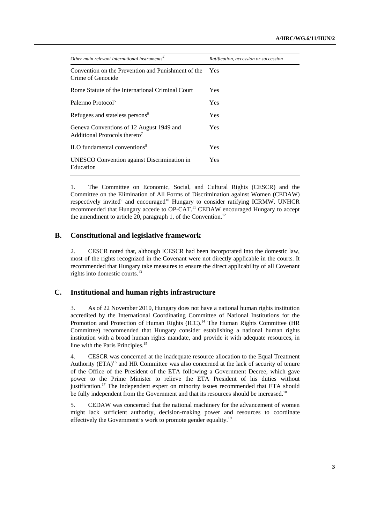| Other main relevant international instruments <sup>4</sup>                            | Ratification, accession or succession |  |
|---------------------------------------------------------------------------------------|---------------------------------------|--|
| Convention on the Prevention and Punishment of the<br>Crime of Genocide               | <b>Yes</b>                            |  |
| Rome Statute of the International Criminal Court                                      | <b>Yes</b>                            |  |
| Palermo Protocol <sup>5</sup>                                                         | <b>Yes</b>                            |  |
| Refugees and stateless persons <sup>6</sup>                                           | <b>Yes</b>                            |  |
| Geneva Conventions of 12 August 1949 and<br>Additional Protocols thereto <sup>7</sup> | <b>Yes</b>                            |  |
| ILO fundamental conventions <sup>8</sup>                                              | Yes                                   |  |
| UNESCO Convention against Discrimination in<br>Education                              | <b>Yes</b>                            |  |

1. The Committee on Economic, Social, and Cultural Rights (CESCR) and the Committee on the Elimination of All Forms of Discrimination against Women (CEDAW) respectively invited<sup>9</sup> and encouraged<sup>10</sup> Hungary to consider ratifying ICRMW. UNHCR recommended that Hungary accede to OP-CAT.<sup>11</sup> CEDAW encouraged Hungary to accept the amendment to article 20, paragraph 1, of the Convention.<sup>12</sup>

## **B. Constitutional and legislative framework**

2. CESCR noted that, although ICESCR had been incorporated into the domestic law, most of the rights recognized in the Covenant were not directly applicable in the courts. It recommended that Hungary take measures to ensure the direct applicability of all Covenant rights into domestic courts.<sup>13</sup>

## **C. Institutional and human rights infrastructure**

3. As of 22 November 2010, Hungary does not have a national human rights institution accredited by the International Coordinating Committee of National Institutions for the Promotion and Protection of Human Rights (ICC).<sup>14</sup> The Human Rights Committee (HR Committee) recommended that Hungary consider establishing a national human rights institution with a broad human rights mandate, and provide it with adequate resources, in line with the Paris Principles.<sup>15</sup>

4. CESCR was concerned at the inadequate resource allocation to the Equal Treatment Authority  $(ETA)^{16}$  and HR Committee was also concerned at the lack of security of tenure of the Office of the President of the ETA following a Government Decree, which gave power to the Prime Minister to relieve the ETA President of his duties without justification.<sup>17</sup> The independent expert on minority issues recommended that ETA should be fully independent from the Government and that its resources should be increased.<sup>18</sup>

5. CEDAW was concerned that the national machinery for the advancement of women might lack sufficient authority, decision-making power and resources to coordinate effectively the Government's work to promote gender equality.<sup>19</sup>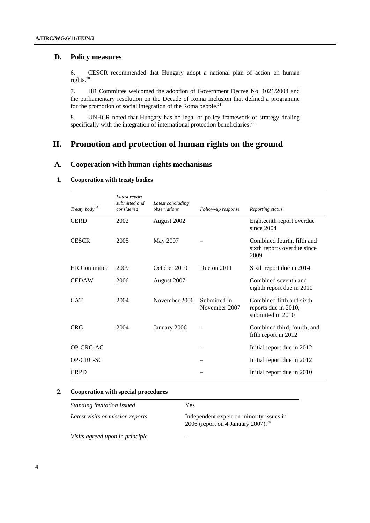## **D. Policy measures**

6. CESCR recommended that Hungary adopt a national plan of action on human rights.20

7. HR Committee welcomed the adoption of Government Decree No. 1021/2004 and the parliamentary resolution on the Decade of Roma Inclusion that defined a programme for the promotion of social integration of the Roma people. $21$ 

8. UNHCR noted that Hungary has no legal or policy framework or strategy dealing specifically with the integration of international protection beneficiaries.<sup>22</sup>

## **II. Promotion and protection of human rights on the ground**

## **A. Cooperation with human rights mechanisms**

#### **1. Cooperation with treaty bodies**

| Treaty body <sup>23</sup> | Latest report<br>submitted and<br>considered | Latest concluding<br>observations | Follow-up response            | Reporting status                                                      |
|---------------------------|----------------------------------------------|-----------------------------------|-------------------------------|-----------------------------------------------------------------------|
| <b>CERD</b>               | 2002                                         | August 2002                       |                               | Eighteenth report overdue<br>since 2004                               |
| <b>CESCR</b>              | 2005                                         | May 2007                          |                               | Combined fourth, fifth and<br>sixth reports overdue since<br>2009     |
| <b>HR</b> Committee       | 2009                                         | October 2010                      | Due on 2011                   | Sixth report due in 2014                                              |
| <b>CEDAW</b>              | 2006                                         | August 2007                       |                               | Combined seventh and<br>eighth report due in 2010                     |
| <b>CAT</b>                | 2004                                         | November 2006                     | Submitted in<br>November 2007 | Combined fifth and sixth<br>reports due in 2010,<br>submitted in 2010 |
| <b>CRC</b>                | 2004                                         | January 2006                      |                               | Combined third, fourth, and<br>fifth report in 2012                   |
| OP-CRC-AC                 |                                              |                                   |                               | Initial report due in 2012                                            |
| <b>OP-CRC-SC</b>          |                                              |                                   |                               | Initial report due in 2012                                            |
| <b>CRPD</b>               |                                              |                                   |                               | Initial report due in 2010                                            |

#### **2. Cooperation with special procedures**

| Standing invitation issued       | Yes                                                                                        |
|----------------------------------|--------------------------------------------------------------------------------------------|
| Latest visits or mission reports | Independent expert on minority issues in<br>2006 (report on 4 January 2007). <sup>24</sup> |
| Visits agreed upon in principle  |                                                                                            |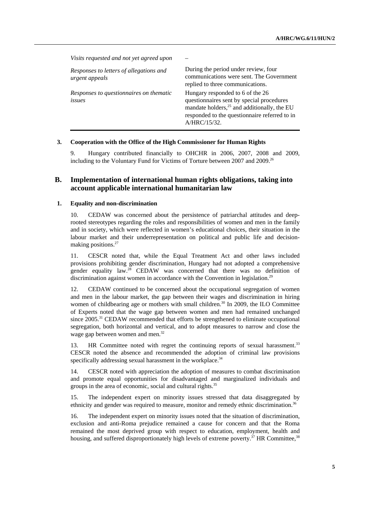*Visits requested and not yet agreed upon* – *Responses to letters of allegations and urgent appeals* During the period under review, four communications were sent. The Government replied to three communications. *Responses to questionnaires on thematic issues* Hungary responded to 6 of the 26 questionnaires sent by special procedures mandate holders, $25$  and additionally, the EU responded to the questionnaire referred to in A/HRC/15/32.

#### **3. Cooperation with the Office of the High Commissioner for Human Rights**

9. Hungary contributed financially to OHCHR in 2006, 2007, 2008 and 2009, including to the Voluntary Fund for Victims of Torture between 2007 and 2009.<sup>26</sup>

## **B. Implementation of international human rights obligations, taking into account applicable international humanitarian law**

#### **1. Equality and non-discrimination**

10. CEDAW was concerned about the persistence of patriarchal attitudes and deeprooted stereotypes regarding the roles and responsibilities of women and men in the family and in society, which were reflected in women's educational choices, their situation in the labour market and their underrepresentation on political and public life and decisionmaking positions.<sup>27</sup>

11. CESCR noted that, while the Equal Treatment Act and other laws included provisions prohibiting gender discrimination, Hungary had not adopted a comprehensive gender equality law.<sup>28</sup> CEDAW was concerned that there was no definition of discrimination against women in accordance with the Convention in legislation.<sup>29</sup>

12. CEDAW continued to be concerned about the occupational segregation of women and men in the labour market, the gap between their wages and discrimination in hiring women of childbearing age or mothers with small children.<sup>30</sup> In 2009, the ILO Committee of Experts noted that the wage gap between women and men had remained unchanged since 2005.31 CEDAW recommended that efforts be strengthened to eliminate occupational segregation, both horizontal and vertical, and to adopt measures to narrow and close the wage gap between women and men.<sup>32</sup>

13. HR Committee noted with regret the continuing reports of sexual harassment.33 CESCR noted the absence and recommended the adoption of criminal law provisions specifically addressing sexual harassment in the workplace.<sup>34</sup>

14. CESCR noted with appreciation the adoption of measures to combat discrimination and promote equal opportunities for disadvantaged and marginalized individuals and groups in the area of economic, social and cultural rights.<sup>35</sup>

15. The independent expert on minority issues stressed that data disaggregated by ethnicity and gender was required to measure, monitor and remedy ethnic discrimination.<sup>36</sup>

16. The independent expert on minority issues noted that the situation of discrimination, exclusion and anti-Roma prejudice remained a cause for concern and that the Roma remained the most deprived group with respect to education, employment, health and housing, and suffered disproportionately high levels of extreme poverty.<sup>37</sup> HR Committee,<sup>38</sup>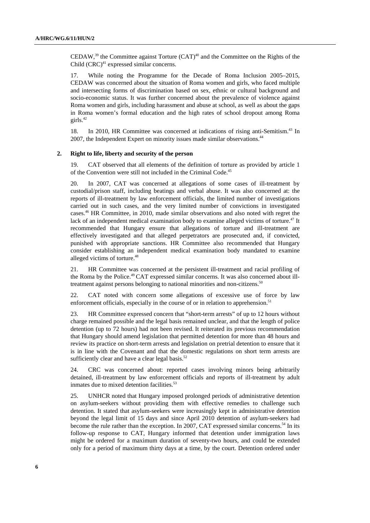CEDAW,  $39$  the Committee against Torture (CAT)<sup>40</sup> and the Committee on the Rights of the Child  $(CRC)^{41}$  expressed similar concerns.

17. While noting the Programme for the Decade of Roma Inclusion 2005–2015, CEDAW was concerned about the situation of Roma women and girls, who faced multiple and intersecting forms of discrimination based on sex, ethnic or cultural background and socio-economic status. It was further concerned about the prevalence of violence against Roma women and girls, including harassment and abuse at school, as well as about the gaps in Roma women's formal education and the high rates of school dropout among Roma girls.42

18. In 2010, HR Committee was concerned at indications of rising anti-Semitism.<sup>43</sup> In 2007, the Independent Expert on minority issues made similar observations.<sup>44</sup>

#### **2. Right to life, liberty and security of the person**

19. CAT observed that all elements of the definition of torture as provided by article 1 of the Convention were still not included in the Criminal Code.45

20. In 2007, CAT was concerned at allegations of some cases of ill-treatment by custodial/prison staff, including beatings and verbal abuse. It was also concerned at: the reports of ill-treatment by law enforcement officials, the limited number of investigations carried out in such cases, and the very limited number of convictions in investigated cases.46 HR Committee, in 2010, made similar observations and also noted with regret the lack of an independent medical examination body to examine alleged victims of torture.<sup>47</sup> It recommended that Hungary ensure that allegations of torture and ill-treatment are effectively investigated and that alleged perpetrators are prosecuted and, if convicted, punished with appropriate sanctions. HR Committee also recommended that Hungary consider establishing an independent medical examination body mandated to examine alleged victims of torture.48

21. HR Committee was concerned at the persistent ill-treatment and racial profiling of the Roma by the Police.49 CAT expressed similar concerns. It was also concerned about illtreatment against persons belonging to national minorities and non-citizens.<sup>50</sup>

22. CAT noted with concern some allegations of excessive use of force by law enforcement officials, especially in the course of or in relation to apprehension.<sup>51</sup>

23. HR Committee expressed concern that "short-term arrests" of up to 12 hours without charge remained possible and the legal basis remained unclear, and that the length of police detention (up to 72 hours) had not been revised. It reiterated its previous recommendation that Hungary should amend legislation that permitted detention for more than 48 hours and review its practice on short-term arrests and legislation on pretrial detention to ensure that it is in line with the Covenant and that the domestic regulations on short term arrests are sufficiently clear and have a clear legal basis.<sup>52</sup>

24. CRC was concerned about: reported cases involving minors being arbitrarily detained, ill-treatment by law enforcement officials and reports of ill-treatment by adult inmates due to mixed detention facilities.<sup>53</sup>

25. UNHCR noted that Hungary imposed prolonged periods of administrative detention on asylum-seekers without providing them with effective remedies to challenge such detention. It stated that asylum-seekers were increasingly kept in administrative detention beyond the legal limit of 15 days and since April 2010 detention of asylum-seekers had become the rule rather than the exception. In 2007, CAT expressed similar concerns.<sup>54</sup> In its follow-up response to CAT, Hungary informed that detention under immigration laws might be ordered for a maximum duration of seventy-two hours, and could be extended only for a period of maximum thirty days at a time, by the court. Detention ordered under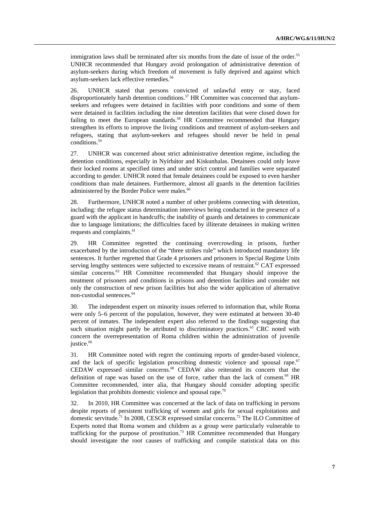immigration laws shall be terminated after six months from the date of issue of the order.<sup>55</sup> UNHCR recommended that Hungary avoid prolongation of administrative detention of asylum-seekers during which freedom of movement is fully deprived and against which asylum-seekers lack effective remedies.<sup>56</sup>

26. UNHCR stated that persons convicted of unlawful entry or stay, faced disproportionately harsh detention conditions.<sup>57</sup> HR Committee was concerned that asylumseekers and refugees were detained in facilities with poor conditions and some of them were detained in facilities including the nine detention facilities that were closed down for failing to meet the European standards.<sup>58</sup> HR Committee recommended that Hungary strengthen its efforts to improve the living conditions and treatment of asylum-seekers and refugees, stating that asylum-seekers and refugees should never be held in penal conditions.<sup>59</sup>

27. UNHCR was concerned about strict administrative detention regime, including the detention conditions, especially in Nyírbátor and Kiskunhalas. Detainees could only leave their locked rooms at specified times and under strict control and families were separated according to gender. UNHCR noted that female detainees could be exposed to even harsher conditions than male detainees. Furthermore, almost all guards in the detention facilities administered by the Border Police were males.<sup>60</sup>

28. Furthermore, UNHCR noted a number of other problems connecting with detention, including: the refugee status determination interviews being conducted in the presence of a guard with the applicant in handcuffs; the inability of guards and detainees to communicate due to language limitations; the difficulties faced by illiterate detainees in making written requests and complaints.<sup>61</sup>

29. HR Committee regretted the continuing overcrowding in prisons, further exacerbated by the introduction of the "three strikes rule" which introduced mandatory life sentences. It further regretted that Grade 4 prisoners and prisoners in Special Regime Units serving lengthy sentences were subjected to excessive means of restraint. $62$  CAT expressed similar concerns.<sup>63</sup> HR Committee recommended that Hungary should improve the treatment of prisoners and conditions in prisons and detention facilities and consider not only the construction of new prison facilities but also the wider application of alternative non-custodial sentences.<sup>64</sup>

30. The independent expert on minority issues referred to information that, while Roma were only 5–6 percent of the population, however, they were estimated at between 30-40 percent of inmates. The independent expert also referred to the findings suggesting that such situation might partly be attributed to discriminatory practices.<sup>65</sup> CRC noted with concern the overrepresentation of Roma children within the administration of juvenile justice.<sup>66</sup>

31. HR Committee noted with regret the continuing reports of gender-based violence, and the lack of specific legislation proscribing domestic violence and spousal rape.<sup>67</sup> CEDAW expressed similar concerns.68 CEDAW also reiterated its concern that the definition of rape was based on the use of force, rather than the lack of consent.<sup>69</sup> HR Committee recommended, inter alia, that Hungary should consider adopting specific legislation that prohibits domestic violence and spousal rape.<sup>70</sup>

32. In 2010, HR Committee was concerned at the lack of data on trafficking in persons despite reports of persistent trafficking of women and girls for sexual exploitations and domestic servitude.71 In 2008, CESCR expressed similar concerns.72 The ILO Committee of Experts noted that Roma women and children as a group were particularly vulnerable to trafficking for the purpose of prostitution.<sup>73</sup> HR Committee recommended that Hungary should investigate the root causes of trafficking and compile statistical data on this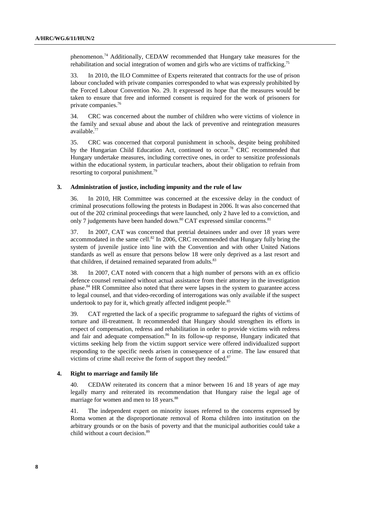phenomenon.74 Additionally, CEDAW recommended that Hungary take measures for the rehabilitation and social integration of women and girls who are victims of trafficking.<sup>75</sup>

33. In 2010, the ILO Committee of Experts reiterated that contracts for the use of prison labour concluded with private companies corresponded to what was expressly prohibited by the Forced Labour Convention No. 29. It expressed its hope that the measures would be taken to ensure that free and informed consent is required for the work of prisoners for private companies.76

34. CRC was concerned about the number of children who were victims of violence in the family and sexual abuse and about the lack of preventive and reintegration measures available.77

35. CRC was concerned that corporal punishment in schools, despite being prohibited by the Hungarian Child Education Act, continued to occur.78 CRC recommended that Hungary undertake measures, including corrective ones, in order to sensitize professionals within the educational system, in particular teachers, about their obligation to refrain from resorting to corporal punishment.<sup>79</sup>

#### **3. Administration of justice, including impunity and the rule of law**

36. In 2010, HR Committee was concerned at the excessive delay in the conduct of criminal prosecutions following the protests in Budapest in 2006. It was also concerned that out of the 202 criminal proceedings that were launched, only 2 have led to a conviction, and only 7 judgements have been handed down.<sup>80</sup> CAT expressed similar concerns.<sup>81</sup>

37. In 2007, CAT was concerned that pretrial detainees under and over 18 years were accommodated in the same cell.<sup>82</sup> In 2006, CRC recommended that Hungary fully bring the system of juvenile justice into line with the Convention and with other United Nations standards as well as ensure that persons below 18 were only deprived as a last resort and that children, if detained remained separated from adults.<sup>83</sup>

38. In 2007, CAT noted with concern that a high number of persons with an ex officio defence counsel remained without actual assistance from their attorney in the investigation phase.<sup>84</sup> HR Committee also noted that there were lapses in the system to guarantee access to legal counsel, and that video-recording of interrogations was only available if the suspect undertook to pay for it, which greatly affected indigent people.<sup>85</sup>

39. CAT regretted the lack of a specific programme to safeguard the rights of victims of torture and ill-treatment. It recommended that Hungary should strengthen its efforts in respect of compensation, redress and rehabilitation in order to provide victims with redress and fair and adequate compensation.<sup>86</sup> In its follow-up response, Hungary indicated that victims seeking help from the victim support service were offered individualized support responding to the specific needs arisen in consequence of a crime. The law ensured that victims of crime shall receive the form of support they needed. $87$ 

#### **4. Right to marriage and family life**

40. CEDAW reiterated its concern that a minor between 16 and 18 years of age may legally marry and reiterated its recommendation that Hungary raise the legal age of marriage for women and men to 18 years.<sup>88</sup>

41. The independent expert on minority issues referred to the concerns expressed by Roma women at the disproportionate removal of Roma children into institution on the arbitrary grounds or on the basis of poverty and that the municipal authorities could take a child without a court decision.<sup>89</sup>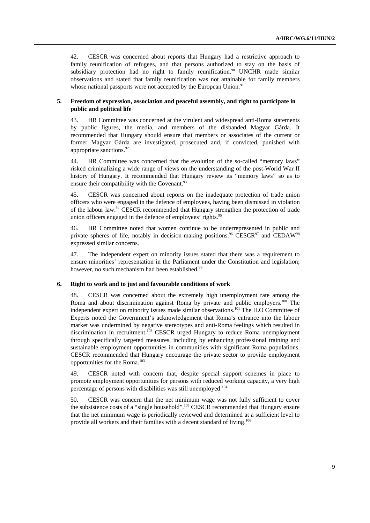42. CESCR was concerned about reports that Hungary had a restrictive approach to family reunification of refugees, and that persons authorized to stay on the basis of subsidiary protection had no right to family reunification.<sup>90</sup> UNCHR made similar observations and stated that family reunification was not attainable for family members whose national passports were not accepted by the European Union.<sup>91</sup>

#### **5. Freedom of expression, association and peaceful assembly, and right to participate in public and political life**

43. HR Committee was concerned at the virulent and widespread anti-Roma statements by public figures, the media, and members of the disbanded Magyar Gàrda. It recommended that Hungary should ensure that members or associates of the current or former Magyar Gàrda are investigated, prosecuted and, if convicted, punished with appropriate sanctions.92

44. HR Committee was concerned that the evolution of the so-called "memory laws" risked criminalizing a wide range of views on the understanding of the post-World War II history of Hungary. It recommended that Hungary review its "memory laws" so as to ensure their compatibility with the Covenant.<sup>93</sup>

45. CESCR was concerned about reports on the inadequate protection of trade union officers who were engaged in the defence of employees, having been dismissed in violation of the labour law.<sup>94</sup> CESCR recommended that Hungary strengthen the protection of trade union officers engaged in the defence of employees' rights.<sup>95</sup>

46. HR Committee noted that women continue to be underrepresented in public and private spheres of life, notably in decision-making positions.<sup>96</sup> CESCR<sup>97</sup> and CEDAW<sup>98</sup> expressed similar concerns.

47. The independent expert on minority issues stated that there was a requirement to ensure minorities' representation in the Parliament under the Constitution and legislation; however, no such mechanism had been established.<sup>99</sup>

#### **6. Right to work and to just and favourable conditions of work**

48. CESCR was concerned about the extremely high unemployment rate among the Roma and about discrimination against Roma by private and public employers.<sup>100</sup> The independent expert on minority issues made similar observations.101 The ILO Committee of Experts noted the Government's acknowledgement that Roma's entrance into the labour market was undermined by negative stereotypes and anti-Roma feelings which resulted in discrimination in recruitment.<sup>102</sup> CESCR urged Hungary to reduce Roma unemployment through specifically targeted measures, including by enhancing professional training and sustainable employment opportunities in communities with significant Roma populations. CESCR recommended that Hungary encourage the private sector to provide employment opportunities for the Roma.103

49. CESCR noted with concern that, despite special support schemes in place to promote employment opportunities for persons with reduced working capacity, a very high percentage of persons with disabilities was still unemployed.104

50. CESCR was concern that the net minimum wage was not fully sufficient to cover the subsistence costs of a "single household".105 CESCR recommended that Hungary ensure that the net minimum wage is periodically reviewed and determined at a sufficient level to provide all workers and their families with a decent standard of living.106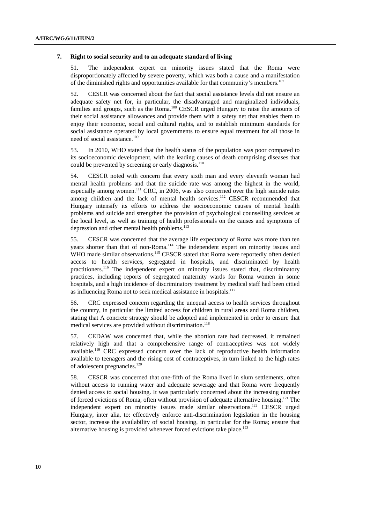#### **7. Right to social security and to an adequate standard of living**

51. The independent expert on minority issues stated that the Roma were disproportionately affected by severe poverty, which was both a cause and a manifestation of the diminished rights and opportunities available for that community's members.107

52. CESCR was concerned about the fact that social assistance levels did not ensure an adequate safety net for, in particular, the disadvantaged and marginalized individuals, families and groups, such as the Roma.<sup>108</sup> CESCR urged Hungary to raise the amounts of their social assistance allowances and provide them with a safety net that enables them to enjoy their economic, social and cultural rights, and to establish minimum standards for social assistance operated by local governments to ensure equal treatment for all those in need of social assistance.109

53. In 2010, WHO stated that the health status of the population was poor compared to its socioeconomic development, with the leading causes of death comprising diseases that could be prevented by screening or early diagnosis.<sup>110</sup>

54. CESCR noted with concern that every sixth man and every eleventh woman had mental health problems and that the suicide rate was among the highest in the world, especially among women.<sup>111</sup> CRC, in 2006, was also concerned over the high suicide rates among children and the lack of mental health services.<sup>112</sup> CESCR recommended that Hungary intensify its efforts to address the socioeconomic causes of mental health problems and suicide and strengthen the provision of psychological counselling services at the local level, as well as training of health professionals on the causes and symptoms of depression and other mental health problems.<sup>113</sup>

55. CESCR was concerned that the average life expectancy of Roma was more than ten years shorter than that of non-Roma.<sup>114</sup> The independent expert on minority issues and WHO made similar observations.<sup>115</sup> CESCR stated that Roma were reportedly often denied access to health services, segregated in hospitals, and discriminated by health practitioners.116 The independent expert on minority issues stated that, discriminatory practices, including reports of segregated maternity wards for Roma women in some hospitals, and a high incidence of discriminatory treatment by medical staff had been citied as influencing Roma not to seek medical assistance in hospitals.<sup>117</sup>

56. CRC expressed concern regarding the unequal access to health services throughout the country, in particular the limited access for children in rural areas and Roma children, stating that A concrete strategy should be adopted and implemented in order to ensure that medical services are provided without discrimination.<sup>118</sup>

57. CEDAW was concerned that, while the abortion rate had decreased, it remained relatively high and that a comprehensive range of contraceptives was not widely available.119 CRC expressed concern over the lack of reproductive health information available to teenagers and the rising cost of contraceptives, in turn linked to the high rates of adolescent pregnancies.120

58. CESCR was concerned that one-fifth of the Roma lived in slum settlements, often without access to running water and adequate sewerage and that Roma were frequently denied access to social housing. It was particularly concerned about the increasing number of forced evictions of Roma, often without provision of adequate alternative housing.121 The independent expert on minority issues made similar observations.<sup>122</sup> CESCR urged Hungary, inter alia, to: effectively enforce anti-discrimination legislation in the housing sector, increase the availability of social housing, in particular for the Roma; ensure that alternative housing is provided whenever forced evictions take place.<sup>123</sup>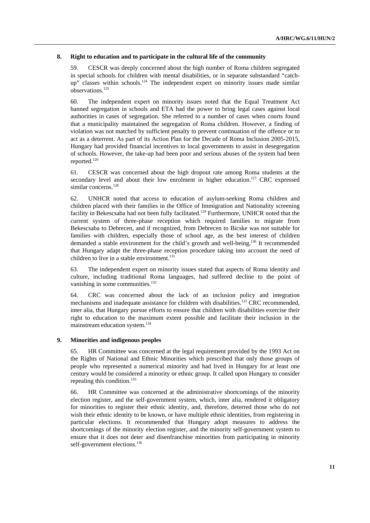#### **8. Right to education and to participate in the cultural life of the community**

59. CESCR was deeply concerned about the high number of Roma children segregated in special schools for children with mental disabilities, or in separate substandard "catchup" classes within schools.<sup>124</sup> The independent expert on minority issues made similar observations.125

60. The independent expert on minority issues noted that the Equal Treatment Act banned segregation in schools and ETA had the power to bring legal cases against local authorities in cases of segregation. She referred to a number of cases when courts found that a municipality maintained the segregation of Roma children. However, a finding of violation was not matched by sufficient penalty to prevent continuation of the offence or to act as a deterrent. As part of its Action Plan for the Decade of Roma Inclusion 2005-2015, Hungary had provided financial incentives to local governments to assist in desegregation of schools. However, the take-up had been poor and serious abuses of the system had been reported.126

61. CESCR was concerned about the high dropout rate among Roma students at the secondary level and about their low enrolment in higher education.<sup>127</sup> CRC expressed similar concerns.<sup>128</sup>

62. UNHCR noted that access to education of asylum-seeking Roma children and children placed with their families in the Office of Immigration and Nationality screening facility in Bekescsaba had not been fully facilitated.<sup>129</sup> Furthermore, UNHCR noted that the current system of three-phase reception which required families to migrate from Bekescsaba to Debrecen, and if recognized, from Debrecen to Bicske was not suitable for families with children, especially those of school age, as the best interest of children demanded a stable environment for the child's growth and well-being.<sup>130</sup> It recommended that Hungary adapt the three-phase reception procedure taking into account the need of children to live in a stable environment.<sup>131</sup>

63. The independent expert on minority issues stated that aspects of Roma identity and culture, including traditional Roma languages, had suffered decline to the point of vanishing in some communities.<sup>132</sup>

64. CRC was concerned about the lack of an inclusion policy and integration mechanisms and inadequate assistance for children with disabilities.<sup>133</sup> CRC recommended, inter alia, that Hungary pursue efforts to ensure that children with disabilities exercise their right to education to the maximum extent possible and facilitate their inclusion in the mainstream education system.134

#### **9. Minorities and indigenous peoples**

65. HR Committee was concerned at the legal requirement provided by the 1993 Act on the Rights of National and Ethnic Minorities which prescribed that only those groups of people who represented a numerical minority and had lived in Hungary for at least one century would be considered a minority or ethnic group. It called upon Hungary to consider repealing this condition.<sup>135</sup>

66. HR Committee was concerned at the administrative shortcomings of the minority election register, and the self-government system, which, inter alia, rendered it obligatory for minorities to register their ethnic identity, and, therefore, deterred those who do not wish their ethnic identity to be known, or have multiple ethnic identities, from registering in particular elections. It recommended that Hungary adopt measures to address the shortcomings of the minority election register, and the minority self-government system to ensure that it does not deter and disenfranchise minorities from participating in minority self-government elections.<sup>136</sup>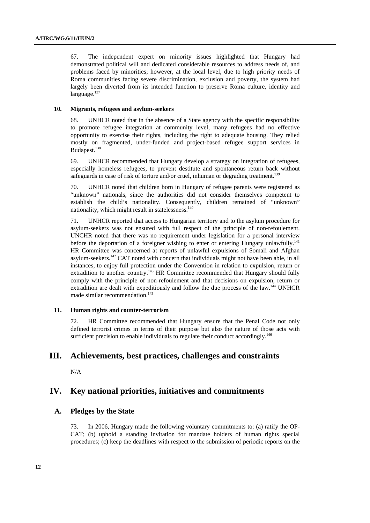67. The independent expert on minority issues highlighted that Hungary had demonstrated political will and dedicated considerable resources to address needs of, and problems faced by minorities; however, at the local level, due to high priority needs of Roma communities facing severe discrimination, exclusion and poverty, the system had largely been diverted from its intended function to preserve Roma culture, identity and language.<sup>137</sup>

#### **10. Migrants, refugees and asylum-seekers**

68. UNHCR noted that in the absence of a State agency with the specific responsibility to promote refugee integration at community level, many refugees had no effective opportunity to exercise their rights, including the right to adequate housing. They relied mostly on fragmented, under-funded and project-based refugee support services in Budapest.<sup>138</sup>

69. UNHCR recommended that Hungary develop a strategy on integration of refugees, especially homeless refugees, to prevent destitute and spontaneous return back without safeguards in case of risk of torture and/or cruel, inhuman or degrading treatment.<sup>139</sup>

70. UNHCR noted that children born in Hungary of refugee parents were registered as "unknown" nationals, since the authorities did not consider themselves competent to establish the child's nationality. Consequently, children remained of "unknown" nationality, which might result in statelessness.<sup>140</sup>

71. UNHCR reported that access to Hungarian territory and to the asylum procedure for asylum-seekers was not ensured with full respect of the principle of non-refoulement. UNCHR noted that there was no requirement under legislation for a personal interview before the deportation of a foreigner wishing to enter or entering Hungary unlawfully.<sup>141</sup> HR Committee was concerned at reports of unlawful expulsions of Somali and Afghan asylum-seekers.142 CAT noted with concern that individuals might not have been able, in all instances, to enjoy full protection under the Convention in relation to expulsion, return or extradition to another country.<sup>143</sup> HR Committee recommended that Hungary should fully comply with the principle of non-refoulement and that decisions on expulsion, return or extradition are dealt with expeditiously and follow the due process of the law.144 UNHCR made similar recommendation.<sup>145</sup>

#### **11. Human rights and counter-terrorism**

72. HR Committee recommended that Hungary ensure that the Penal Code not only defined terrorist crimes in terms of their purpose but also the nature of those acts with sufficient precision to enable individuals to regulate their conduct accordingly.<sup>146</sup>

## **III. Achievements, best practices, challenges and constraints**

N/A

## **IV. Key national priorities, initiatives and commitments**

### **A. Pledges by the State**

73. In 2006, Hungary made the following voluntary commitments to: (a) ratify the OP-CAT; (b) uphold a standing invitation for mandate holders of human rights special procedures; (c) keep the deadlines with respect to the submission of periodic reports on the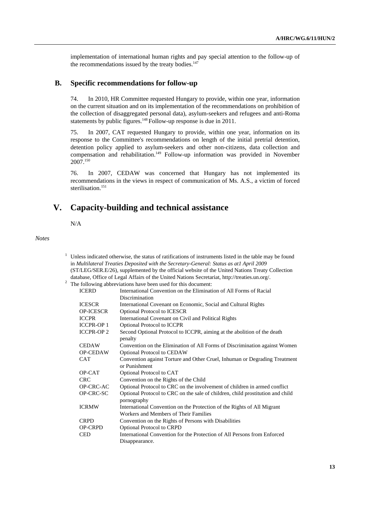implementation of international human rights and pay special attention to the follow-up of the recommendations issued by the treaty bodies. $147$ 

### **B. Specific recommendations for follow-up**

74. In 2010, HR Committee requested Hungary to provide, within one year, information on the current situation and on its implementation of the recommendations on prohibition of the collection of disaggregated personal data), asylum-seekers and refugees and anti-Roma statements by public figures.<sup>148</sup> Follow-up response is due in 2011.

75. In 2007, CAT requested Hungary to provide, within one year, information on its response to the Committee's recommendations on length of the initial pretrial detention, detention policy applied to asylum-seekers and other non-citizens, data collection and compensation and rehabilitation.149 Follow-up information was provided in November  $2007^{150}$ 

76. In 2007, CEDAW was concerned that Hungary has not implemented its recommendations in the views in respect of communication of Ms. A.S., a victim of forced sterilisation.<sup>151</sup>

## **V. Capacity-building and technical assistance**

N/A

1

*Notes* 

| Unless indicated otherwise, the status of ratifications of instruments listed in the table may be found |                                                                                                 |  |
|---------------------------------------------------------------------------------------------------------|-------------------------------------------------------------------------------------------------|--|
|                                                                                                         | in Multilateral Treaties Deposited with the Secretary-General: Status as atl April 2009         |  |
|                                                                                                         | (ST/LEG/SER.E/26), supplemented by the official website of the United Nations Treaty Collection |  |
|                                                                                                         | database, Office of Legal Affairs of the United Nations Secretariat, http://treaties.un.org/.   |  |
| The following abbreviations have been used for this document:                                           |                                                                                                 |  |
| <b>ICERD</b>                                                                                            | International Convention on the Elimination of All Forms of Racial                              |  |
|                                                                                                         | Discrimination                                                                                  |  |
| <b>ICESCR</b>                                                                                           | International Covenant on Economic, Social and Cultural Rights                                  |  |
| <b>OP-ICESCR</b>                                                                                        | <b>Optional Protocol to ICESCR</b>                                                              |  |
| <b>ICCPR</b>                                                                                            | International Covenant on Civil and Political Rights                                            |  |
| <b>ICCPR-OP1</b>                                                                                        | <b>Optional Protocol to ICCPR</b>                                                               |  |
| <b>ICCPR-OP2</b>                                                                                        | Second Optional Protocol to ICCPR, aiming at the abolition of the death                         |  |
|                                                                                                         | penalty                                                                                         |  |
| <b>CEDAW</b>                                                                                            | Convention on the Elimination of All Forms of Discrimination against Women                      |  |
| <b>OP-CEDAW</b>                                                                                         | <b>Optional Protocol to CEDAW</b>                                                               |  |
| <b>CAT</b>                                                                                              | Convention against Torture and Other Cruel, Inhuman or Degrading Treatment                      |  |
|                                                                                                         | or Punishment                                                                                   |  |
| OP-CAT                                                                                                  | Optional Protocol to CAT                                                                        |  |
| <b>CRC</b>                                                                                              | Convention on the Rights of the Child                                                           |  |
| OP-CRC-AC                                                                                               | Optional Protocol to CRC on the involvement of children in armed conflict                       |  |
| OP-CRC-SC                                                                                               | Optional Protocol to CRC on the sale of children, child prostitution and child                  |  |
|                                                                                                         | pornography                                                                                     |  |
| <b>ICRMW</b>                                                                                            | International Convention on the Protection of the Rights of All Migrant                         |  |
|                                                                                                         | Workers and Members of Their Families                                                           |  |
| <b>CRPD</b>                                                                                             | Convention on the Rights of Persons with Disabilities                                           |  |
| <b>OP-CRPD</b>                                                                                          | Optional Protocol to CRPD                                                                       |  |
| <b>CED</b>                                                                                              | International Convention for the Protection of All Persons from Enforced                        |  |
|                                                                                                         | Disappearance.                                                                                  |  |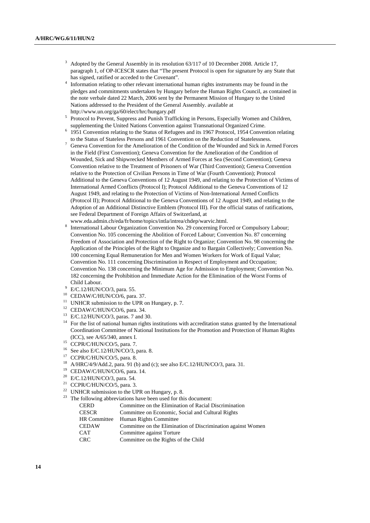- <sup>3</sup> Adopted by the General Assembly in its resolution 63/117 of 10 December 2008. Article 17, paragraph 1, of OP-ICESCR states that "The present Protocol is open for signature by any State that has signed, ratified or acceded to the Covenant".
- <sup>4</sup> Information relating to other relevant international human rights instruments may be found in the pledges and commitments undertaken by Hungary before the Human Rights Council, as contained in the note verbale dated 22 March, 2006 sent by the Permanent Mission of Hungary to the United Nations addressed to the President of the General Assembly. available at http://www.un.org/ga/60/elect/hrc/hungary.pdf 5
- <sup>5</sup> Protocol to Prevent, Suppress and Punish Trafficking in Persons, Especially Women and Children, supplementing the United Nations Convention against Transnational Organized Crime. 6
- <sup>6</sup> 1951 Convention relating to the Status of Refugees and its 1967 Protocol, 1954 Convention relating
- to the Status of Stateless Persons and 1961 Convention on the Reduction of Statelessness. 7 Geneva Convention for the Amelioration of the Condition of the Wounded and Sick in Armed Forces in the Field (First Convention); Geneva Convention for the Amelioration of the Condition of Wounded, Sick and Shipwrecked Members of Armed Forces at Sea (Second Convention); Geneva Convention relative to the Treatment of Prisoners of War (Third Convention); Geneva Convention relative to the Protection of Civilian Persons in Time of War (Fourth Convention); Protocol Additional to the Geneva Conventions of 12 August 1949, and relating to the Protection of Victims of International Armed Conflicts (Protocol I); Protocol Additional to the Geneva Conventions of 12 August 1949, and relating to the Protection of Victims of Non-International Armed Conflicts (Protocol II); Protocol Additional to the Geneva Conventions of 12 August 1949, and relating to the Adoption of an Additional Distinctive Emblem (Protocol III). For the official status of ratifications, see Federal Department of Foreign Affairs of Switzerland, at www.eda.admin.ch/eda/fr/home/topics/intla/intrea/chdep/warvic.html. 8
- International Labour Organization Convention No. 29 concerning Forced or Compulsory Labour; Convention No. 105 concerning the Abolition of Forced Labour; Convention No. 87 concerning Freedom of Association and Protection of the Right to Organize; Convention No. 98 concerning the Application of the Principles of the Right to Organize and to Bargain Collectively; Convention No. 100 concerning Equal Remuneration for Men and Women Workers for Work of Equal Value; Convention No. 111 concerning Discrimination in Respect of Employment and Occupation; Convention No. 138 concerning the Minimum Age for Admission to Employment; Convention No. 182 concerning the Prohibition and Immediate Action for the Elimination of the Worst Forms of
- Child Labour.<br>
<sup>9</sup> E/C.12/HUN/CO/3, para. 55.
- <sup>10</sup> CEDAW/C/HUN/CO/6, para. 37.
- <sup>11</sup> UNHCR submission to the UPR on Hungary, p. 7.
- 12 CEDAW/C/HUN/CO/6, para. 34.
- 13 E/C.12/HUN/CO/3, paras. 7 and 30.
- <sup>14</sup> For the list of national human rights institutions with accreditation status granted by the International Coordination Committee of National Institutions for the Promotion and Protection of Human Rights (ICC), see A/65/340, annex I. 15 CCPR/C/HUN/CO/5, para. 7.
- 
- <sup>16</sup> See also E/C.12/HUN/CO/3, para. 8.
- <sup>17</sup> CCPR/C/HUN/CO/5, para. 8.
- <sup>18</sup> A/HRC/4/9/Add.2, para. 91 (b) and (c); see also E/C.12/HUN/CO/3, para. 31.<br><sup>19</sup> CEDAW/C/HUN/CO/6, para. 14.
- 
- <sup>20</sup> E/C.12/HUN/CO/3, para. 54.<br><sup>21</sup> CCPP/C/HUN/CO/5, para. <sup>2</sup>
- CCPR/C/HUN/CO/5, para. 3.
- <sup>22</sup> UNHCR submission to the UPR on Hungary, p. 8.
- $23$  The following abbreviations have been used for this document:

| <b>CERD</b>         | Committee on the Elimination of Racial Discrimination        |
|---------------------|--------------------------------------------------------------|
| <b>CESCR</b>        | Committee on Economic, Social and Cultural Rights            |
| <b>HR</b> Committee | Human Rights Committee                                       |
| <b>CEDAW</b>        | Committee on the Elimination of Discrimination against Women |
| <b>CAT</b>          | Committee against Torture                                    |
| <b>CRC</b>          | Committee on the Rights of the Child                         |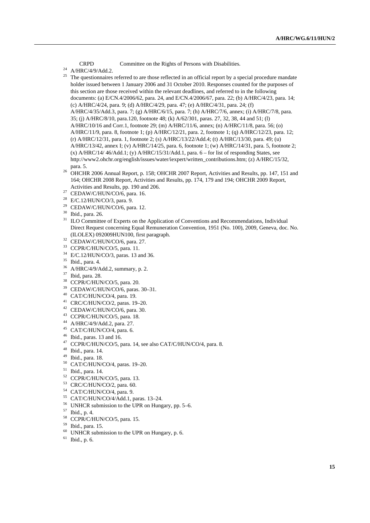CRPD Committee on the Rights of Persons with Disabilities.<br><sup>24</sup> A/HRC/4/9/Add.2.<br><sup>25</sup> The questionnaires referred to are those reflected in an official report by a st

- The questionnaires referred to are those reflected in an official report by a special procedure mandate holder issued between 1 January 2006 and 31 October 2010. Responses counted for the purposes of this section are those received within the relevant deadlines, and referred to in the following documents: (a) E/CN.4/2006/62, para. 24, and E/CN.4/2006/67, para. 22; (b) A/HRC/4/23, para. 14; (c) A/HRC/4/24, para. 9; (d) A/HRC/4/29, para. 47; (e) A/HRC/4/31, para. 24; (f) A/HRC/4/35/Add.3, para. 7; (g) A/HRC/6/15, para. 7; (h) A/HRC/7/6, annex; (i) A/HRC/7/8, para. 35; (j) A/HRC/8/10, para.120, footnote 48; (k) A/62/301, paras. 27, 32, 38, 44 and 51; (l) A/HRC/10/16 and Corr.1, footnote 29; (m) A/HRC/11/6, annex; (n) A/HRC/11/8, para. 56; (o) A/HRC/11/9, para. 8, footnote 1; (p) A/HRC/12/21, para. 2, footnote 1; (q) A/HRC/12/23, para. 12; (r) A/HRC/12/31, para. 1, footnote 2; (s) A/HRC/13/22/Add.4; (t) A/HRC/13/30, para. 49; (u) A/HRC/13/42, annex I; (v) A/HRC/14/25, para. 6, footnote 1; (w) A/HRC/14/31, para. 5, footnote 2; (x) A/HRC/14/ 46/Add.1; (y) A/HRC/15/31/Add.1, para.  $6-$  for list of responding States, see http://www2.ohchr.org/english/issues/water/iexpert/written\_contributions.htm; (z) A/HRC/15/32, para. 5. 26 OHCHR 2006 Annual Report, p. 158; OHCHR 2007 Report, Activities and Results, pp. 147, 151 and
- 164; OHCHR 2008 Report, Activities and Results, pp. 174, 179 and 194; OHCHR 2009 Report, Activities and Results, pp. 190 and 206.<br><sup>27</sup> CEDAW/C/HUN/CO/6, para. 16.
- 
- 28 E/C.12/HUN/CO/3, para. 9.
- $29$  CEDAW/C/HUN/CO/6, para. 12.
- 30 Ibid., para. 26.
- <sup>31</sup> ILO Committee of Experts on the Application of Conventions and Recommendations, Individual Direct Request concerning Equal Remuneration Convention, 1951 (No. 100), 2009, Geneva, doc. No. (ILOLEX) 092009HUN100, first paragraph. 32 CEDAW/C/HUN/CO/6, para. 27.
- 
- 33 CCPR/C/HUN/CO/5, para. 11.
- 34 E/C.12/HUN/CO/3, paras. 13 and 36.
- 35 Ibid., para. 4.
- 36 A/HRC/4/9/Add.2, summary, p. 2.
- 37 Ibid, para. 28.
- 38 CCPR/C/HUN/CO/5, para. 20.
- 39 CEDAW/C/HUN/CO/6, paras. 30–31.
- 40 CAT/C/HUN/CO/4, para. 19.
- 41 CRC/C/HUN/CO/2, paras. 19–20.
- 42 CEDAW/C/HUN/CO/6, para. 30.
- 43 CCPR/C/HUN/CO/5, para. 18.
- 44 A/HRC/4/9/Add.2, para. 27.
- 45 CAT/C/HUN/CO/4, para. 6.
- 46 Ibid., paras. 13 and 16.
- $^{47}$  CCPR/C/HUN/CO/5, para. 14, see also CAT/C/HUN/CO/4, para. 8.<br><sup>48</sup> Ibid., para. 14.
- 
- 49 Ibid., para. 18.
- 50 CAT/C/HUN/CO/4, paras. 19–20.
- 51 Ibid., para. 14.
- 52 CCPR/C/HUN/CO/5, para. 13.
- 53 CRC/C/HUN/CO/2, para. 60.
- 54 CAT/C/HUN/CO/4, para. 9.
- 55 CAT/C/HUN/CO/4/Add.1, paras. 13–24.
- 56 UNHCR submission to the UPR on Hungary, pp. 5–6.
- 57 Ibid., p. 4.
- 58 CCPR/C/HUN/CO/5, para. 15.
- 59 Ibid., para. 15.
- $60$  UNHCR submission to the UPR on Hungary, p. 6.
- $61$  Ibid., p. 6.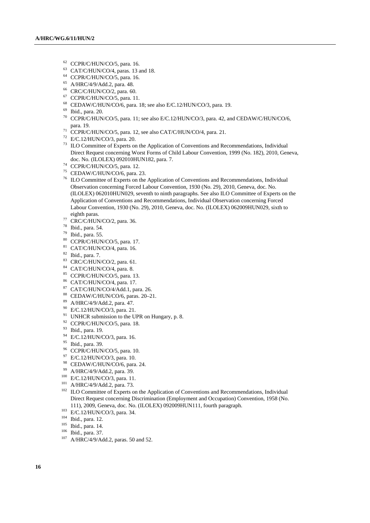- 62 CCPR/C/HUN/CO/5, para. 16.
- 63 CAT/C/HUN/CO/4, paras. 13 and 18.
- 64 CCPR/C/HUN/CO/5, para. 16.
- 65 A/HRC/4/9/Add.2, para. 48.
- 66 CRC/C/HUN/CO/2, para. 60.
- 67 CCPR/C/HUN/CO/5, para. 11.
- <sup>68</sup> CEDAW/C/HUN/CO/6, para. 18; see also E/C.12/HUN/CO/3, para. 19.<br><sup>69</sup> Ibid., para. 20.
- 
- $70$  CCPR/C/HUN/CO/5, para. 11; see also E/C.12/HUN/CO/3, para. 42, and CEDAW/C/HUN/CO/6, para. 19.  $\frac{71}{12}$  CCPR/C/HUN/CO/5, para. 12, see also CAT/C/HUN/CO/4, para. 21.  $\frac{72}{12}$  E/C.12/HUN/CO/3, para. 20.
- 
- 
- 73 ILO Committee of Experts on the Application of Conventions and Recommendations, Individual Direct Request concerning Worst Forms of Child Labour Convention, 1999 (No. 182), 2010, Geneva, doc. No. (ILOLEX) 092010HUN182, para. 7. 74 CCPR/C/HUN/CO/5, para. 12.
- 
- 75 CEDAW/C/HUN/CO/6, para. 23.
- 76 ILO Committee of Experts on the Application of Conventions and Recommendations, Individual Observation concerning Forced Labour Convention, 1930 (No. 29), 2010, Geneva, doc. No. (ILOLEX) 062010HUN029, seventh to ninth paragraphs. See also ILO Committee of Experts on the Application of Conventions and Recommendations, Individual Observation concerning Forced Labour Convention, 1930 (No. 29), 2010, Geneva, doc. No. (ILOLEX) 062009HUN029, sixth to
- eighth paras.<br><sup>77</sup> CRC/C/HUN/CO/2, para. 36.
- 78 Ibid., para. 54.
- 79 Ibid., para. 55.
- 80 CCPR/C/HUN/CO/5, para. 17.
- 81 CAT/C/HUN/CO/4, para. 16.
- $82$  Ibid., para. 7.
- 83 CRC/C/HUN/CO/2, para. 61.
- 84 CAT/C/HUN/CO/4, para. 8.
- 85 CCPR/C/HUN/CO/5, para. 13.
- 86 CAT/C/HUN/CO/4, para. 17.
- 87 CAT/C/HUN/CO/4/Add.1, para. 26.
- 88 CEDAW/C/HUN/CO/6, paras. 20–21.
- 89 A/HRC/4/9/Add.2, para. 47.
- 90 E/C.12/HUN/CO/3, para. 21.
- <sup>91</sup> UNHCR submission to the UPR on Hungary, p. 8.
- 92 CCPR/C/HUN/CO/5, para. 18.
- 93 Ibid., para. 19.
- 94 E/C.12/HUN/CO/3, para. 16.
- 95 Ibid., para. 39.
- <sup>96</sup> CCPR/C/HUN/CO/5, para. 10.
- 97 E/C.12/HUN/CO/3, para. 10.
- <sup>98</sup> CEDAW/C/HUN/CO/6, para. 24.<br><sup>99</sup> A/HRC/4/9/Add.2, para. 39.
- 
- 
- 
- <sup>100</sup> E/C.12/HUN/CO/3, para. 11.<br><sup>101</sup> A/HRC/4/9/Add.2, para. 73.<br><sup>102</sup> ILO Committee of Experts on the Application of Conventions and Recommendations, Individual Direct Request concerning Discrimination (Employment and Occupation) Convention, 1958 (No. 111), 2009, Geneva, doc. No. (ILOLEX) 092009HUN111, fourth paragraph.<br>
<sup>103</sup> E/C.12/HUN/CO/3, para. 34.<br>
<sup>104</sup> Ibid., para. 12.<br>
<sup>105</sup> Ibid., para. 37.<br>
<sup>107</sup> A/HRC/4/9/Add.2, paras. 50 and 52.
- 
- 
- 
- 
-